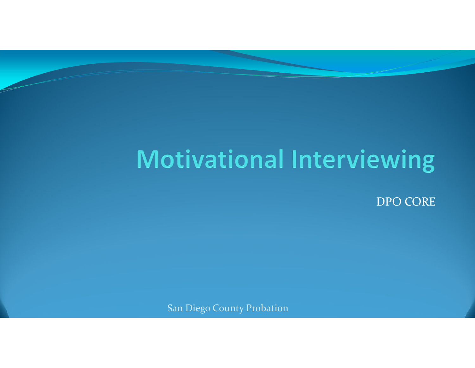## **Motivational Interviewing**

DPO CORE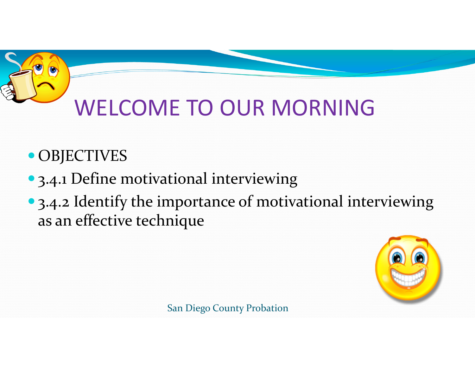# WELCOME TO OUR MORNING

- OBJECTIVES
- 3.4.1 Define motivational interviewing
- 3.4.2 Identify the importance of motivational interviewing as an effective technique

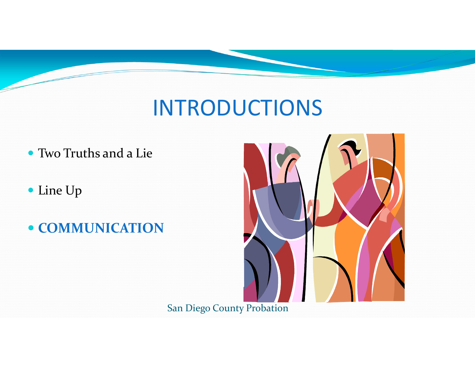### INTRODUCTIONS

- Two Truths and a Lie
- Line Up
- **COMMUNICATION**

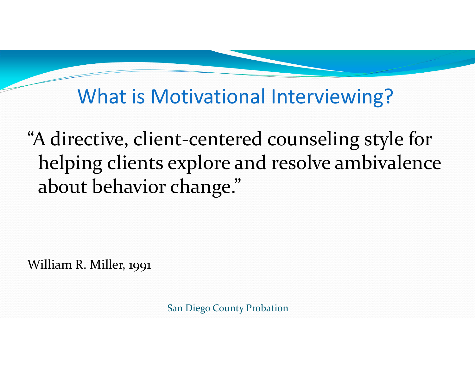What is Motivational Interviewing?

"A directive, client‐centered counseling style for helping clients explore and resolve ambivalence about behavior change."

William R. Miller, 1991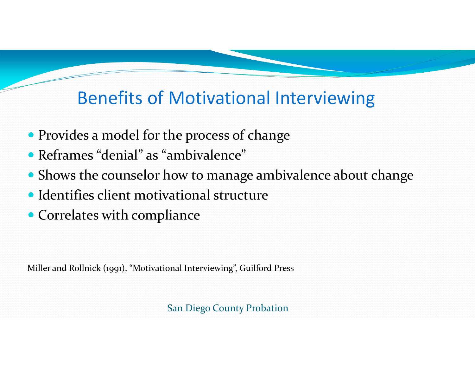### Benefits of Motivational Interviewing

- Provides <sup>a</sup> model for the process of change
- Reframes "denial" as "ambivalence"
- Shows the counselor how to manage ambivalence about change
- Identifies client motivational structure
- Correlates with compliance

Miller and Rollnick (1991), "Motivational Interviewing", Guilford Press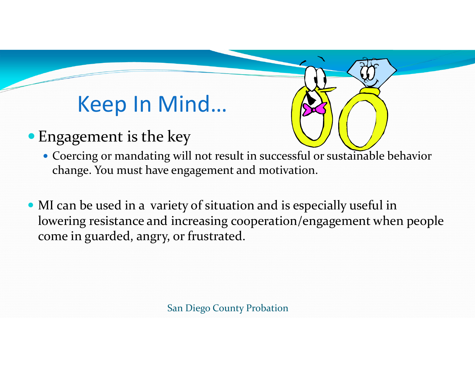### Keep In Mind…

- Engagement is the key
	- Coercing or mandating will not result in successful or sustainable behavior change. You must have engagemen<sup>t</sup> and motivation.
- MI can be used in <sup>a</sup> variety of situation and is especially useful in lowering resistance and increasing cooperation/engagement when people come in guarded, angry, or frustrated.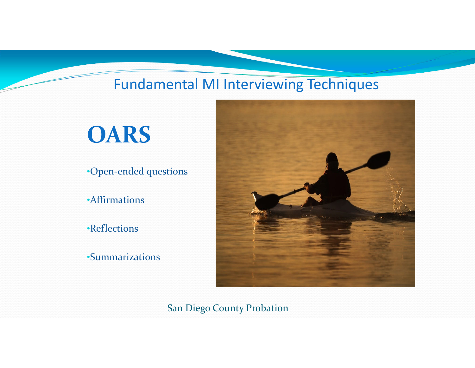#### Fundamental MI Interviewing Techniques

## **OARS**

•Open‐ended questions

•Affirmations

•Reflections

•Summarizations